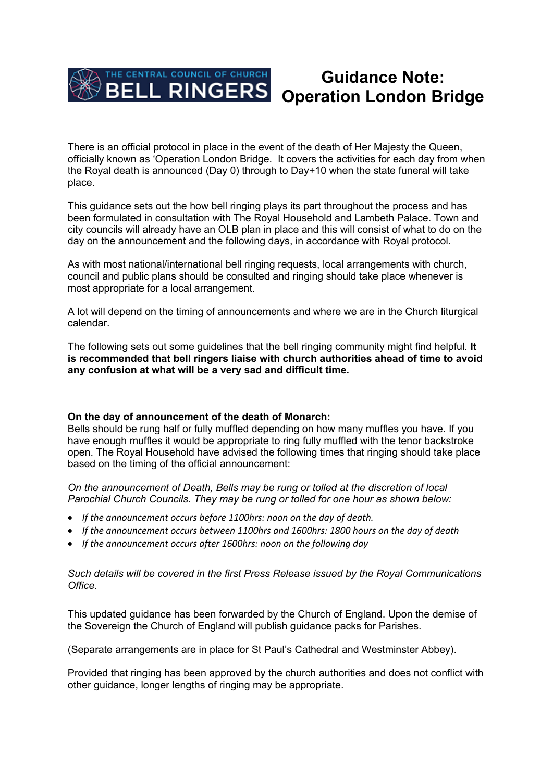

# **Guidance Note: Operation London Bridge**

There is an official protocol in place in the event of the death of Her Majesty the Queen, officially known as 'Operation London Bridge. It covers the activities for each day from when the Royal death is announced (Day 0) through to Day+10 when the state funeral will take place.

This guidance sets out the how bell ringing plays its part throughout the process and has been formulated in consultation with The Royal Household and Lambeth Palace. Town and city councils will already have an OLB plan in place and this will consist of what to do on the day on the announcement and the following days, in accordance with Royal protocol.

As with most national/international bell ringing requests, local arrangements with church, council and public plans should be consulted and ringing should take place whenever is most appropriate for a local arrangement.

A lot will depend on the timing of announcements and where we are in the Church liturgical calendar.

The following sets out some guidelines that the bell ringing community might find helpful. **It is recommended that bell ringers liaise with church authorities ahead of time to avoid any confusion at what will be a very sad and difficult time.**

## **On the day of announcement of the death of Monarch:**

Bells should be rung half or fully muffled depending on how many muffles you have. If you have enough muffles it would be appropriate to ring fully muffled with the tenor backstroke open. The Royal Household have advised the following times that ringing should take place based on the timing of the official announcement:

*On the announcement of Death, Bells may be rung or tolled at the discretion of local Parochial Church Councils. They may be rung or tolled for one hour as shown below:*

- *If the announcement occurs before 1100hrs: noon on the day of death.*
- *If the announcement occurs between 1100hrs and 1600hrs: 1800 hours on the day of death*
- *If the announcement occurs after 1600hrs: noon on the following day*

### *Such details will be covered in the first Press Release issued by the Royal Communications Office.*

This updated guidance has been forwarded by the Church of England. Upon the demise of the Sovereign the Church of England will publish guidance packs for Parishes.

(Separate arrangements are in place for St Paul's Cathedral and Westminster Abbey).

Provided that ringing has been approved by the church authorities and does not conflict with other guidance, longer lengths of ringing may be appropriate.